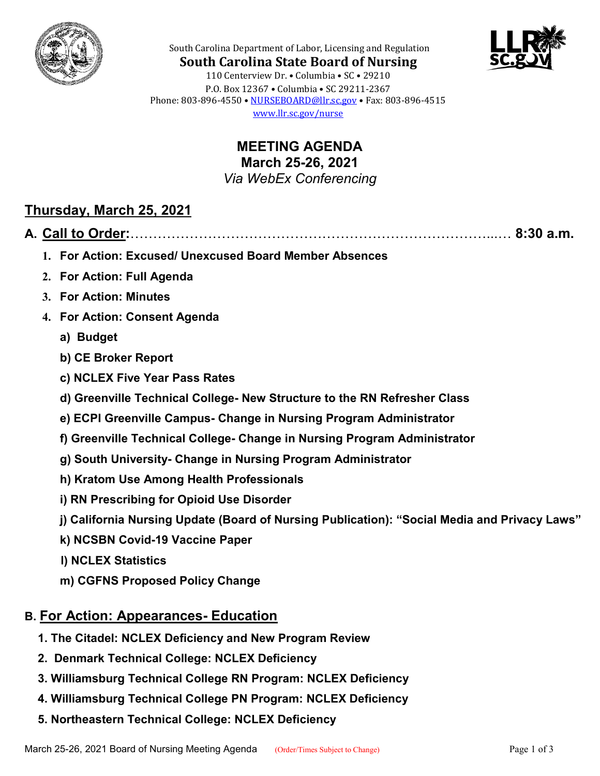



South Carolina Department of Labor, Licensing and Regulation **South Carolina State Board of Nursing** 110 Centerview Dr. • Columbia • SC • 29210 P.O. Box 12367 • Columbia • SC 29211-2367 Phone: 803-896-4550 • [NURSEBOARD@llr.sc.gov](mailto:contactllr@llr.sc.gov) • Fax: 803-896-4515 [www.llr.sc.gov/nurse](http://www.llr.sc.gov/nurse)

> **MEETING AGENDA March 25-26, 2021** *Via WebEx Conferencing*

### **Thursday, March 25, 2021**

**A. Call to Order:**……………………………………………………………………...… **8:30 a.m.**

- 
- **1. For Action: Excused/ Unexcused Board Member Absences**
- **2. For Action: Full Agenda**
- **3. For Action: Minutes**
- **4. For Action: Consent Agenda**
	- **a) Budget**
	- **b) CE Broker Report**
	- **c) NCLEX Five Year Pass Rates**
	- **d) Greenville Technical College- New Structure to the RN Refresher Class**
	- **e) ECPI Greenville Campus- Change in Nursing Program Administrator**
	- **f) Greenville Technical College- Change in Nursing Program Administrator**
	- **g) South University- Change in Nursing Program Administrator**
	- **h) Kratom Use Among Health Professionals**
	- **i) RN Prescribing for Opioid Use Disorder**
	- **j) California Nursing Update (Board of Nursing Publication): "Social Media and Privacy Laws"**
	- **k) NCSBN Covid-19 Vaccine Paper**
	- **l) NCLEX Statistics**
	- **m) CGFNS Proposed Policy Change**

# **B. For Action: Appearances- Education**

- **1. The Citadel: NCLEX Deficiency and New Program Review**
- **2. Denmark Technical College: NCLEX Deficiency**
- **3. Williamsburg Technical College RN Program: NCLEX Deficiency**
- **4. Williamsburg Technical College PN Program: NCLEX Deficiency**
- **5. Northeastern Technical College: NCLEX Deficiency**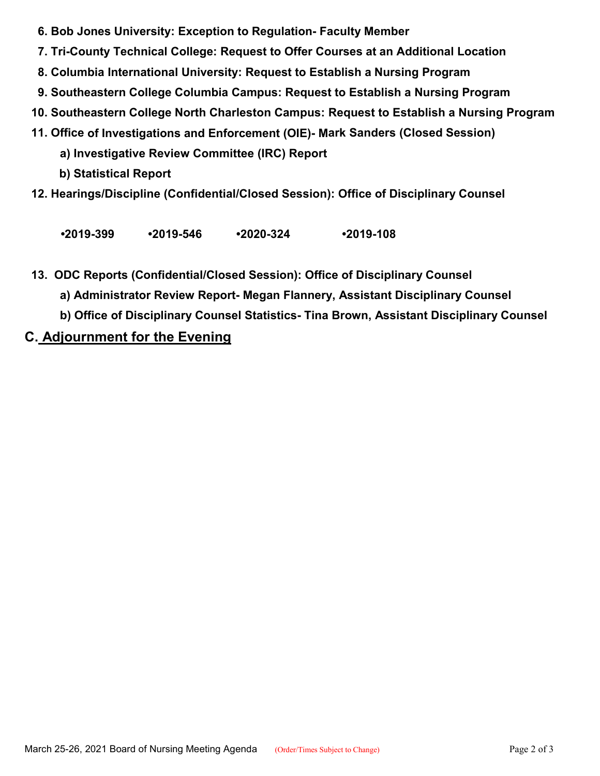- **6. Bob Jones University: Exception to Regulation- Faculty Member**
- **7. Tri-County Technical College: Request to Offer Courses at an Additional Location**
- **8. Columbia International University: Request to Establish a Nursing Program**
- **9. Southeastern College Columbia Campus: Request to Establish a Nursing Program**
- **10. Southeastern College North Charleston Campus: Request to Establish a Nursing Program**
- **11. Office of Investigations and Enforcement (OIE)- Mark Sanders (Closed Session)**
	- **a) Investigative Review Committee (IRC) Report**
	- **b) Statistical Report**
- **12. Hearings/Discipline (Confidential/Closed Session): Office of Disciplinary Counsel**

**•2019-399 •2019-546 •2020-324 •2019-108**

- **13. ODC Reports (Confidential/Closed Session): Office of Disciplinary Counsel**
	- **a) Administrator Review Report- Megan Flannery, Assistant Disciplinary Counsel**
	- **b) Office of Disciplinary Counsel Statistics- Tina Brown, Assistant Disciplinary Counsel**

# **C. Adjournment for the Evening**